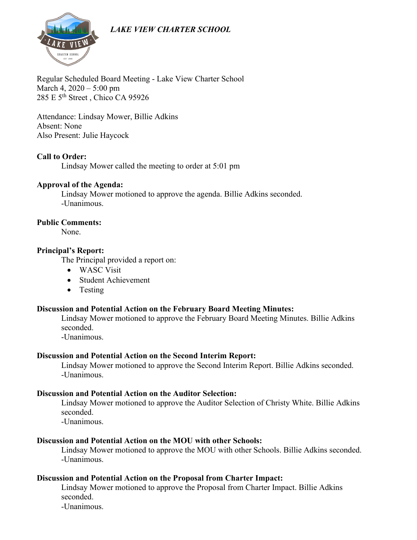# *LAKE VIEW CHARTER SCHOOL*



Regular Scheduled Board Meeting - Lake View Charter School March 4, 2020 – 5:00 pm 285 E 5<sup>th</sup> Street, Chico CA 95926

Attendance: Lindsay Mower, Billie Adkins Absent: None Also Present: Julie Haycock

## **Call to Order:**

Lindsay Mower called the meeting to order at 5:01 pm

## **Approval of the Agenda:**

Lindsay Mower motioned to approve the agenda. Billie Adkins seconded. -Unanimous.

#### **Public Comments:**

None.

## **Principal's Report:**

The Principal provided a report on:

- WASC Visit
- Student Achievement
- Testing

## **Discussion and Potential Action on the February Board Meeting Minutes:**

Lindsay Mower motioned to approve the February Board Meeting Minutes. Billie Adkins seconded.

-Unanimous.

## **Discussion and Potential Action on the Second Interim Report:**

Lindsay Mower motioned to approve the Second Interim Report. Billie Adkins seconded. -Unanimous.

## **Discussion and Potential Action on the Auditor Selection:**

Lindsay Mower motioned to approve the Auditor Selection of Christy White. Billie Adkins seconded.

-Unanimous.

# **Discussion and Potential Action on the MOU with other Schools:**

Lindsay Mower motioned to approve the MOU with other Schools. Billie Adkins seconded. -Unanimous.

# **Discussion and Potential Action on the Proposal from Charter Impact:**

Lindsay Mower motioned to approve the Proposal from Charter Impact. Billie Adkins seconded.

-Unanimous.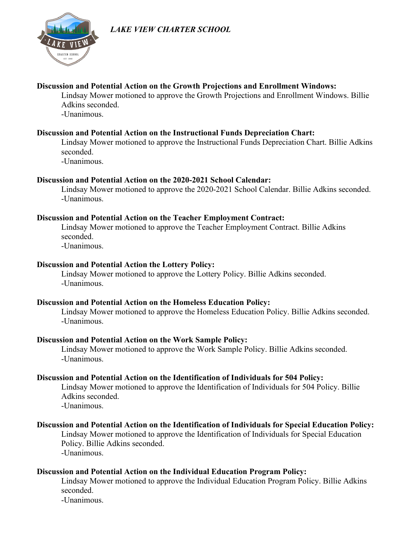# *LAKE VIEW CHARTER SCHOOL*



## **Discussion and Potential Action on the Growth Projections and Enrollment Windows:**

Lindsay Mower motioned to approve the Growth Projections and Enrollment Windows. Billie Adkins seconded.

-Unanimous.

## **Discussion and Potential Action on the Instructional Funds Depreciation Chart:**

Lindsay Mower motioned to approve the Instructional Funds Depreciation Chart. Billie Adkins seconded.

-Unanimous.

## **Discussion and Potential Action on the 2020-2021 School Calendar:**

Lindsay Mower motioned to approve the 2020-2021 School Calendar. Billie Adkins seconded. -Unanimous.

## **Discussion and Potential Action on the Teacher Employment Contract:**

Lindsay Mower motioned to approve the Teacher Employment Contract. Billie Adkins seconded. -Unanimous.

## **Discussion and Potential Action the Lottery Policy:**

Lindsay Mower motioned to approve the Lottery Policy. Billie Adkins seconded. -Unanimous.

## **Discussion and Potential Action on the Homeless Education Policy:**

Lindsay Mower motioned to approve the Homeless Education Policy. Billie Adkins seconded. -Unanimous.

## **Discussion and Potential Action on the Work Sample Policy:**

Lindsay Mower motioned to approve the Work Sample Policy. Billie Adkins seconded. -Unanimous.

## **Discussion and Potential Action on the Identification of Individuals for 504 Policy:**

Lindsay Mower motioned to approve the Identification of Individuals for 504 Policy. Billie Adkins seconded.

-Unanimous.

## **Discussion and Potential Action on the Identification of Individuals for Special Education Policy:**

Lindsay Mower motioned to approve the Identification of Individuals for Special Education Policy. Billie Adkins seconded.

-Unanimous.

## **Discussion and Potential Action on the Individual Education Program Policy:**

Lindsay Mower motioned to approve the Individual Education Program Policy. Billie Adkins seconded.

-Unanimous.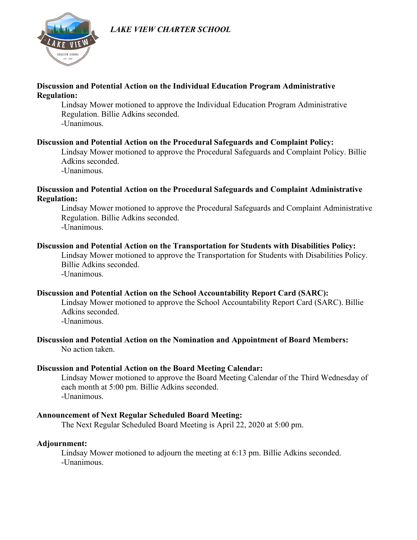## *LAKE VIEW CHARTER SCHOOL*



## **Discussion and Potential Action on the Individual Education Program Administrative Regulation:**

Lindsay Mower motioned to approve the Individual Education Program Administrative Regulation. Billie Adkins seconded. -Unanimous.

## **Discussion and Potential Action on the Procedural Safeguards and Complaint Policy:**

Lindsay Mower motioned to approve the Procedural Safeguards and Complaint Policy. Billie Adkins seconded.

-Unanimous.

## **Discussion and Potential Action on the Procedural Safeguards and Complaint Administrative Regulation:**

Lindsay Mower motioned to approve the Procedural Safeguards and Complaint Administrative Regulation. Billie Adkins seconded. -Unanimous.

## **Discussion and Potential Action on the Transportation for Students with Disabilities Policy:**

Lindsay Mower motioned to approve the Transportation for Students with Disabilities Policy. Billie Adkins seconded.

-Unanimous.

## **Discussion and Potential Action on the School Accountability Report Card (SARC):**

Lindsay Mower motioned to approve the School Accountability Report Card (SARC). Billie Adkins seconded.

-Unanimous.

## **Discussion and Potential Action on the Nomination and Appointment of Board Members:** No action taken.

# **Discussion and Potential Action on the Board Meeting Calendar:**

Lindsay Mower motioned to approve the Board Meeting Calendar of the Third Wednesday of each month at 5:00 pm. Billie Adkins seconded. -Unanimous.

# **Announcement of Next Regular Scheduled Board Meeting:**

The Next Regular Scheduled Board Meeting is April 22, 2020 at 5:00 pm.

# **Adjournment:**

Lindsay Mower motioned to adjourn the meeting at 6:13 pm. Billie Adkins seconded. -Unanimous.